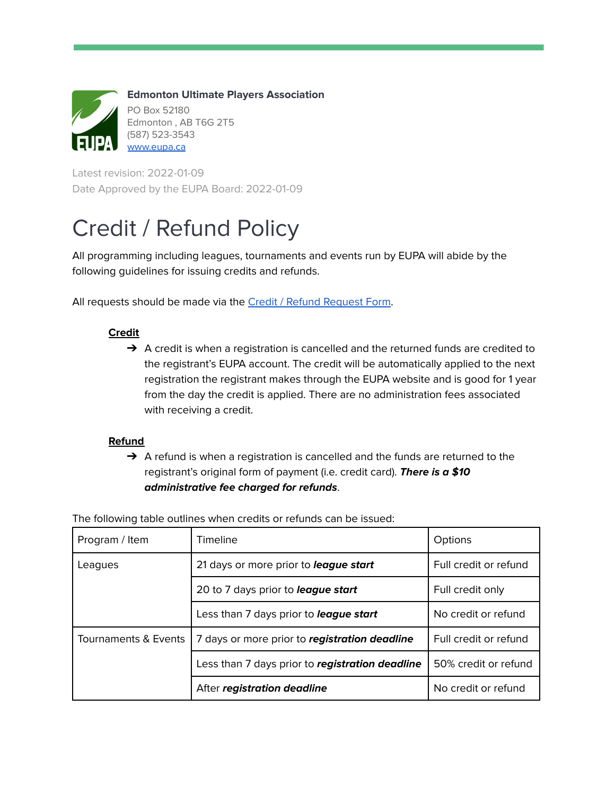

**Edmonton Ultimate Players Association** PO Box 52180 Edmonton , AB T6G 2T5 (587) 523-3543 [www.eupa.ca](http://www.eupa.ca)

Latest revision: 2022-01-09 Date Approved by the EUPA Board: 2022-01-09

# Credit / Refund Policy

All programming including leagues, tournaments and events run by EUPA will abide by the following guidelines for issuing credits and refunds.

All requests should be made via the Credit / Refund [Request](https://forms.gle/wNZVgcneGDq7iKKj8) Form.

## **Credit**

 $\rightarrow$  A credit is when a registration is cancelled and the returned funds are credited to the registrant's EUPA account. The credit will be automatically applied to the next registration the registrant makes through the EUPA website and is good for 1 year from the day the credit is applied. There are no administration fees associated with receiving a credit.

## **Refund**

 $\rightarrow$  A refund is when a registration is cancelled and the funds are returned to the registrant's original form of payment (i.e. credit card). **There is a \$10 administrative fee charged for refunds**.

| Program / Item       | Timeline                                        | Options               |
|----------------------|-------------------------------------------------|-----------------------|
| Leagues              | 21 days or more prior to <i>league start</i>    | Full credit or refund |
|                      | 20 to 7 days prior to <i>league start</i>       | Full credit only      |
|                      | Less than 7 days prior to <i>league start</i>   | No credit or refund   |
| Tournaments & Events | 7 days or more prior to registration deadline   | Full credit or refund |
|                      | Less than 7 days prior to registration deadline | 50% credit or refund  |
|                      | After registration deadline                     | No credit or refund   |

The following table outlines when credits or refunds can be issued: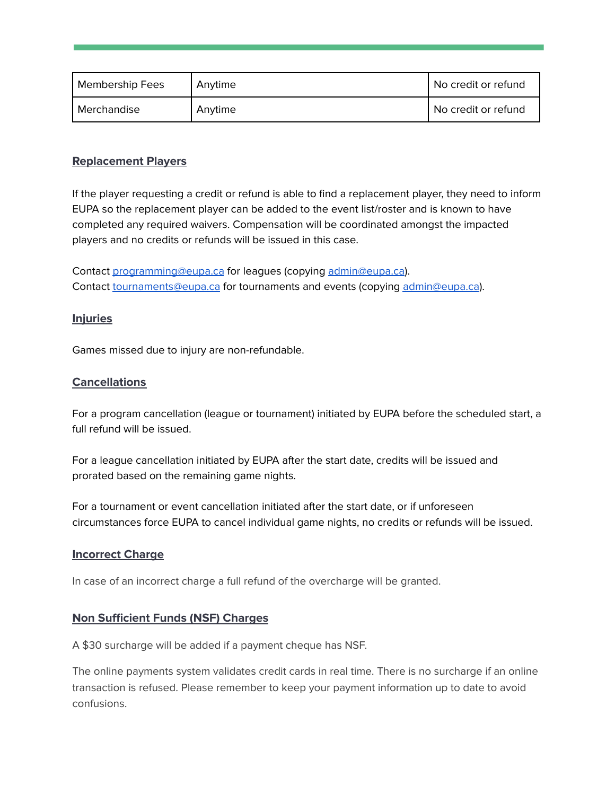| <b>Membership Fees</b> | Anytime | No credit or refund |
|------------------------|---------|---------------------|
| Merchandise            | Anytime | No credit or refund |

#### **Replacement Players**

If the player requesting a credit or refund is able to find a replacement player, they need to inform EUPA so the replacement player can be added to the event list/roster and is known to have completed any required waivers. Compensation will be coordinated amongst the impacted players and no credits or refunds will be issued in this case.

Contact [programming@eupa.ca](mailto:programming@eupa.ca) for leagues (copying [admin@eupa.ca](mailto:admin@eupa.ca)). Contact [tournaments@eupa.ca](mailto:tournaments@eupa.ca) for tournaments and events (copying [admin@eupa.ca](mailto:admin@eupa.ca)).

#### **Injuries**

Games missed due to injury are non-refundable.

#### **Cancellations**

For a program cancellation (league or tournament) initiated by EUPA before the scheduled start, a full refund will be issued.

For a league cancellation initiated by EUPA after the start date, credits will be issued and prorated based on the remaining game nights.

For a tournament or event cancellation initiated after the start date, or if unforeseen circumstances force EUPA to cancel individual game nights, no credits or refunds will be issued.

#### **Incorrect Charge**

In case of an incorrect charge a full refund of the overcharge will be granted.

#### **Non Sufficient Funds (NSF) Charges**

A \$30 surcharge will be added if a payment cheque has NSF.

The online payments system validates credit cards in real time. There is no surcharge if an online transaction is refused. Please remember to keep your payment information up to date to avoid confusions.